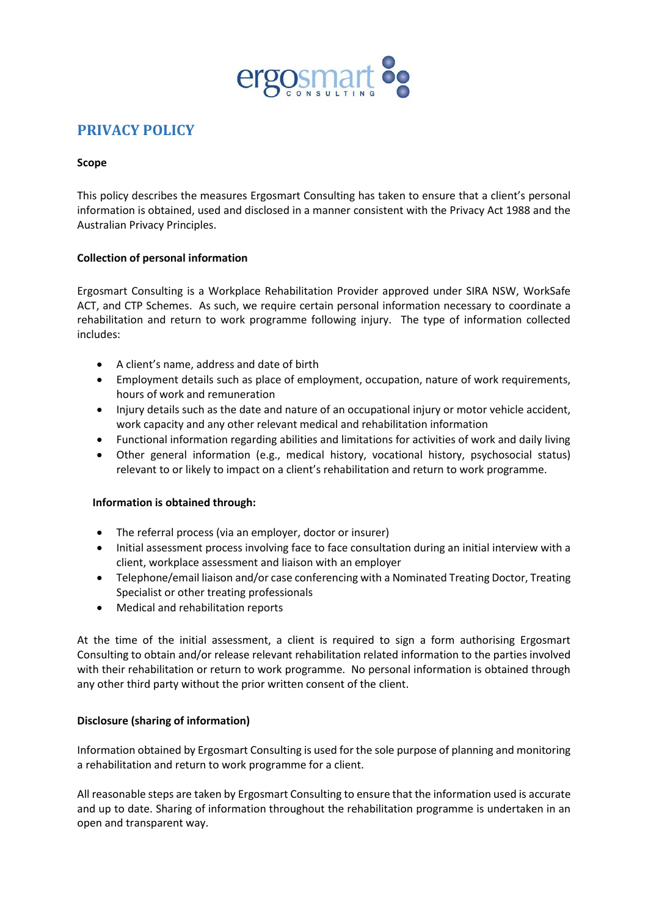

# **PRIVACY POLICY**

### **Scope**

This policy describes the measures Ergosmart Consulting has taken to ensure that a client's personal information is obtained, used and disclosed in a manner consistent with the Privacy Act 1988 and the Australian Privacy Principles.

## **Collection of personal information**

Ergosmart Consulting is a Workplace Rehabilitation Provider approved under SIRA NSW, WorkSafe ACT, and CTP Schemes. As such, we require certain personal information necessary to coordinate a rehabilitation and return to work programme following injury. The type of information collected includes:

- A client's name, address and date of birth
- Employment details such as place of employment, occupation, nature of work requirements, hours of work and remuneration
- Injury details such as the date and nature of an occupational injury or motor vehicle accident, work capacity and any other relevant medical and rehabilitation information
- Functional information regarding abilities and limitations for activities of work and daily living
- Other general information (e.g., medical history, vocational history, psychosocial status) relevant to or likely to impact on a client's rehabilitation and return to work programme.

#### **Information is obtained through:**

- The referral process (via an employer, doctor or insurer)
- Initial assessment process involving face to face consultation during an initial interview with a client, workplace assessment and liaison with an employer
- Telephone/email liaison and/or case conferencing with a Nominated Treating Doctor, Treating Specialist or other treating professionals
- Medical and rehabilitation reports

At the time of the initial assessment, a client is required to sign a form authorising Ergosmart Consulting to obtain and/or release relevant rehabilitation related information to the parties involved with their rehabilitation or return to work programme. No personal information is obtained through any other third party without the prior written consent of the client.

#### **Disclosure (sharing of information)**

Information obtained by Ergosmart Consulting is used for the sole purpose of planning and monitoring a rehabilitation and return to work programme for a client.

All reasonable steps are taken by Ergosmart Consulting to ensure that the information used is accurate and up to date. Sharing of information throughout the rehabilitation programme is undertaken in an open and transparent way.